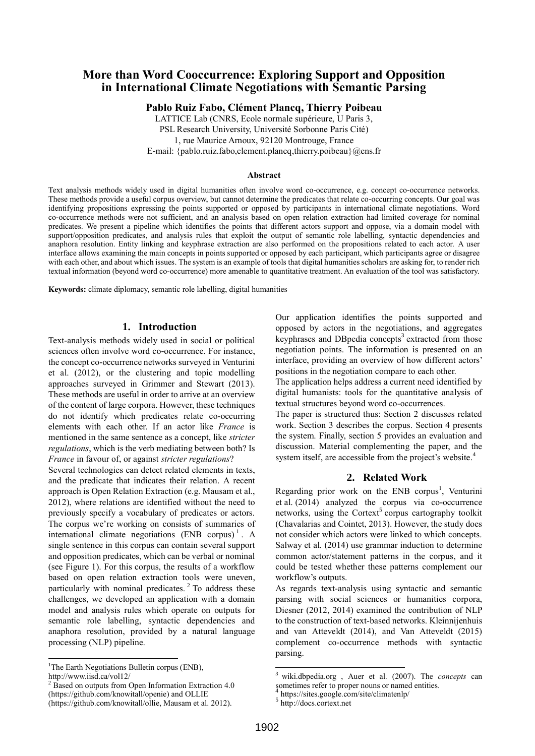# **More than Word Cooccurrence: Exploring Support and Opposition in International Climate Negotiations with Semantic Parsing**

**Pablo Ruiz Fabo, Clément Plancq, Thierry Poibeau**

LATTICE Lab (CNRS, Ecole normale supérieure, U Paris 3, PSL Research University, Université Sorbonne Paris Cité) 1, rue Maurice Arnoux, 92120 Montrouge, France

E-mail: {pablo.ruiz.fabo,clement.plancq,thierry.poibeau}@ens.fr

#### **Abstract**

Text analysis methods widely used in digital humanities often involve word co-occurrence, e.g. concept co-occurrence networks. These methods provide a useful corpus overview, but cannot determine the predicates that relate co-occurring concepts. Our goal was identifying propositions expressing the points supported or opposed by participants in international climate negotiations. Word co-occurrence methods were not sufficient, and an analysis based on open relation extraction had limited coverage for nominal predicates. We present a pipeline which identifies the points that different actors support and oppose, via a domain model with support/opposition predicates, and analysis rules that exploit the output of semantic role labelling, syntactic dependencies and anaphora resolution. Entity linking and keyphrase extraction are also performed on the propositions related to each actor. A user interface allows examining the main concepts in points supported or opposed by each participant, which participants agree or disagree with each other, and about which issues. The system is an example of tools that digital humanities scholars are asking for, to render rich textual information (beyond word co-occurrence) more amenable to quantitative treatment. An evaluation of the tool was satisfactory.

**Keywords:** climate diplomacy, semantic role labelling, digital humanities

#### **1. Introduction**

Text-analysis methods widely used in social or political sciences often involve word co-occurrence. For instance, the concept co-occurrence networks surveyed in Venturini et al. (2012), or the clustering and topic modelling approaches surveyed in Grimmer and Stewart (2013). These methods are useful in order to arrive at an overview of the content of large corpora. However, these techniques do not identify which predicates relate co-occurring elements with each other. If an actor like *France* is mentioned in the same sentence as a concept, like *stricter regulations*, which is the verb mediating between both? Is *France* in favour of, or against *stricter regulations*?

Several technologies can detect related elements in texts, and the predicate that indicates their relation. A recent approach is Open Relation Extraction (e.g. Mausam et al., 2012), where relations are identified without the need to previously specify a vocabulary of predicates or actors. The corpus we're working on consists of summaries of international climate negotiations  $(ENB$  corpus)<sup>1</sup>. A single sentence in this corpus can contain several support and opposition predicates, which can be verbal or nominal (see Figure 1). For this corpus, the results of a workflow based on open relation extraction tools were uneven, particularly with nominal predicates.<sup>2</sup> To address these challenges, we developed an application with a domain model and analysis rules which operate on outputs for semantic role labelling, syntactic dependencies and anaphora resolution, provided by a natural language processing (NLP) pipeline.

<sup>1</sup>The Earth Negotiations Bulletin corpus (ENB), http://www.iisd.ca/vol12/

l

 $2^{2}$  Based on outputs from Open Information Extraction 4.0 (https://github.com/knowitall/openie) and OLLIE

Our application identifies the points supported and opposed by actors in the negotiations, and aggregates keyphrases and DBpedia concepts<sup>3</sup> extracted from those negotiation points. The information is presented on an interface, providing an overview of how different actors' positions in the negotiation compare to each other.

The application helps address a current need identified by digital humanists: tools for the quantitative analysis of textual structures beyond word co-occurrences.

The paper is structured thus: Section [2](#page-0-0) discusses related work. Section [3](#page-1-0) describes the corpus. Section [4](#page-1-1) presents the system. Finally, section [5](#page-4-0) provides an evaluation and discussion. Material complementing the paper, and the system itself, are accessible from the project's website.<sup>4</sup>

#### **2. Related Work**

<span id="page-0-1"></span><span id="page-0-0"></span>Regarding prior work on the ENB corpu[s](#page-0-1)<sup>1</sup>, Venturini et al. (2014) analyzed the corpus via co-occurrence networks, using the Cortext<sup>5</sup> corpus cartography toolkit (Chavalarias and Cointet, 2013). However, the study does not consider which actors were linked to which concepts. Salway et al. (2014) use grammar induction to determine common actor/statement patterns in the corpus, and it could be tested whether these patterns complement our workflow's outputs.

As regards text-analysis using syntactic and semantic parsing with social sciences or humanities corpora, Diesner (2012, 2014) examined the contribution of NLP to the construction of text-based networks. Kleinnijenhuis and van Atteveldt (2014), and Van Atteveldt (2015) complement co-occurrence methods with syntactic parsing.

1

<sup>(</sup>https://github.com/knowitall/ollie, Mausam et al. 2012).

<sup>3</sup> wiki.dbpedia.org , Auer et al. (2007). The *concepts* can sometimes refer to proper nouns or named entities.

https://sites.google.com/site/climatenlp/

<sup>&</sup>lt;sup>5</sup> http://docs.cortext.net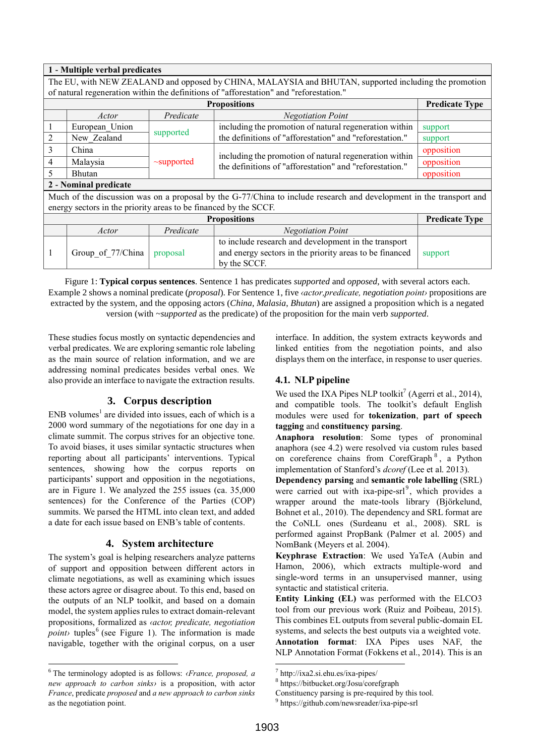### **1 - Multiple verbal predicates**

|                       | The EU, with NEW ZEALAND and opposed by CHINA, MALAYSIA and BHUTAN, supported including the promotion               |                  |                                                                                                                                 |            |  |  |  |
|-----------------------|---------------------------------------------------------------------------------------------------------------------|------------------|---------------------------------------------------------------------------------------------------------------------------------|------------|--|--|--|
|                       | of natural regeneration within the definitions of "afforestation" and "reforestation."                              |                  |                                                                                                                                 |            |  |  |  |
|                       | <b>Predicate Type</b><br><b>Propositions</b>                                                                        |                  |                                                                                                                                 |            |  |  |  |
|                       | Actor                                                                                                               | Predicate        | <b>Negotiation Point</b>                                                                                                        |            |  |  |  |
|                       | European Union                                                                                                      |                  | including the promotion of natural regeneration within                                                                          | support    |  |  |  |
| 2                     | New Zealand                                                                                                         | supported        | the definitions of "afforestation" and "reforestation."                                                                         | support    |  |  |  |
| $\mathcal{E}$         | China                                                                                                               |                  | including the promotion of natural regeneration within                                                                          | opposition |  |  |  |
| $\overline{4}$        | Malaysia                                                                                                            | $\sim$ supported | the definitions of "afforestation" and "reforestation."                                                                         | opposition |  |  |  |
| $\sim$                | <b>Bhutan</b>                                                                                                       |                  |                                                                                                                                 | opposition |  |  |  |
| 2 - Nominal predicate |                                                                                                                     |                  |                                                                                                                                 |            |  |  |  |
|                       | Much of the discussion was on a proposal by the G-77/China to include research and development in the transport and |                  |                                                                                                                                 |            |  |  |  |
|                       | energy sectors in the priority areas to be financed by the SCCF.                                                    |                  |                                                                                                                                 |            |  |  |  |
|                       | <b>Predicate Type</b><br><b>Propositions</b>                                                                        |                  |                                                                                                                                 |            |  |  |  |
|                       | Actor                                                                                                               | Predicate        | <b>Negotiation Point</b>                                                                                                        |            |  |  |  |
| $\mathbf{1}$          | Group of 77/China                                                                                                   | proposal         | to include research and development in the transport<br>and energy sectors in the priority areas to be financed<br>by the SCCF. | support    |  |  |  |

Figure 1: **Typical corpus sentences**. Sentence 1 has predicates *supported* and *opposed*, with several actors each. Example 2 shows a nominal predicate (*proposal*). For Sentence 1, five *‹actor,predicate, negotiation point›* propositions are extracted by the system, and the opposing actors (*China*, *Malasia*, *Bhutan*) are assigned a proposition which is a negated version (with *~supported* as the predicate) of the proposition for the main verb *supported*.

These studies focus mostly on syntactic dependencies and verbal predicates. We are exploring semantic role labeling as the main source of relation information, and we are addressing nominal predicates besides verbal ones. We also provide an interface to navigate the extraction results.

## **3. Corpus description**

<span id="page-1-0"></span> $END$  volume[s](#page-0-1)<sup>1</sup> are divided into issues, each of which is a 2000 word summary of the negotiations for one day in a climate summit. The corpus strives for an objective tone. To avoid biases, it uses similar syntactic structures when reporting about all participants' interventions. Typical sentences, showing how the corpus reports on participants' support and opposition in the negotiations, are in Figure 1. We analyzed the 255 issues (ca. 35,000 sentences) for the Conference of the Parties (COP) summits. We parsed the HTML into clean text, and added a date for each issue based on ENB's table of contents.

## **4. System architecture**

<span id="page-1-1"></span>The system's goal is helping researchers analyze patterns of support and opposition between different actors in climate negotiations, as well as examining which issues these actors agree or disagree about. To this end, based on the outputs of an NLP toolkit, and based on a domain model, the system applies rules to extract domain-relevant propositions, formalized as *‹actor, predicate, negotiation*   $point \rightarrow$  tuples<sup>6</sup> (see Figure 1). The information is made navigable, together with the original corpus, on a user

<sup>6</sup> The terminology adopted is as follows: *‹France, proposed, a new approach to carbon sinks›* is a proposition, with actor *France*, predicate *proposed* and *a new approach to carbon sinks* as the negotiation point.

l

interface. In addition, the system extracts keywords and linked entities from the negotiation points, and also displays them on the interface, in response to user queries.

# **4.1. NLP pipeline**

We used the IXA Pipes NLP toolkit<sup>7</sup> (Agerri et al., 2014), and compatible tools. The toolkit's default English modules were used for **tokenization**, **part of speech tagging** and **constituency parsing**.

**Anaphora resolution**: Some types of pronominal anaphora (see 4.2) were resolved via custom rules based on coreference chains from CorefGraph<sup>8</sup>, a Python implementation of Stanford's *dcoref* (Lee et al. 2013).

**Dependency parsing** and **semantic role labelling** (SRL) were carried out with ixa-pipe-srl<sup>9</sup>, which provides a wrapper around the mate-tools library (Björkelund, Bohnet et al., 2010). The dependency and SRL format are the CoNLL ones (Surdeanu et al., 2008). SRL is performed against PropBank (Palmer et al. 2005) and NomBank (Meyers et al. 2004).

**Keyphrase Extraction**: We used YaTeA (Aubin and Hamon, 2006), which extracts multiple-word and single-word terms in an unsupervised manner, using syntactic and statistical criteria.

**Entity Linking (EL)** was performed with the ELCO3 tool from our previous work (Ruiz and Poibeau, 2015). This combines EL outputs from several public-domain EL systems, and selects the best outputs via a weighted vote. **Annotation format**: IXA Pipes uses NAF, the NLP Annotation Format (Fokkens et al., 2014). This is an

.

<sup>7</sup> http://ixa2.si.ehu.es/ixa-pipes/

<sup>8</sup> https://bitbucket.org/Josu/corefgraph

Constituency parsing is pre-required by this tool.

<sup>9</sup> https://github.com/newsreader/ixa-pipe-srl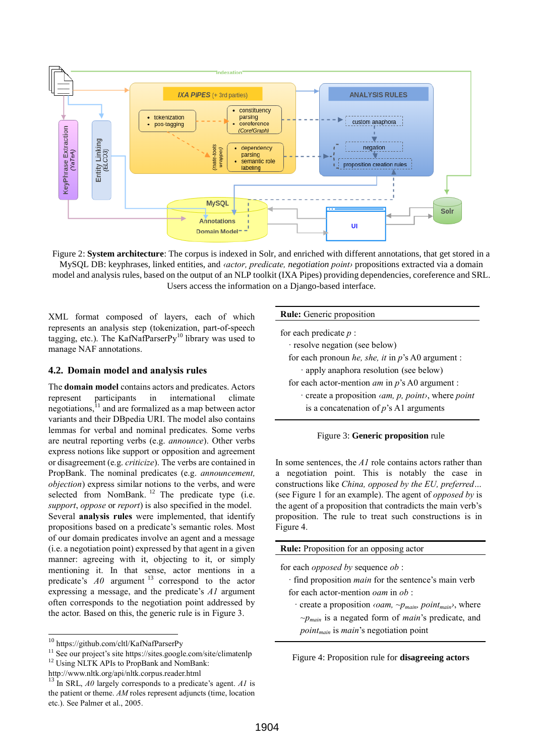

Figure 2: **System architecture**: The corpus is indexed in Solr, and enriched with different annotations, that get stored in a MySQL DB: keyphrases, linked entities, and *‹actor, predicate, negotiation point›* propositions extracted via a domain model and analysis rules, based on the output of an NLP toolkit (IXA Pipes) providing dependencies, coreference and SRL. Users access the information on a Django-based interface.

XML format composed of layers, each of which represents an analysis step (tokenization, part-of-speech tagging, etc.). The KafNafParserPy<sup>10</sup> library was used to manage NAF annotations.

#### **4.2. Domain model and analysis rules**

The **domain model** contains actors and predicates. Actors represent participants in international climate negotiations,<sup>11</sup> and are formalized as a map between actor variants and their DBpedia URI. The model also contains lemmas for verbal and nominal predicates. Some verbs are neutral reporting verbs (e.g. *announce*). Other verbs express notions like support or opposition and agreement or disagreement (e.g. *criticize*). The verbs are contained in PropBank. The nominal predicates (e.g. *announcement, objection*) express similar notions to the verbs, and were selected from  $N$ omBank.  $12$  The predicate type (i.e. *support*, *oppose* or *report*) is also specified in the model. Several **analysis rules** were implemented, that identify propositions based on a predicate's semantic roles. Most of our domain predicates involve an agent and a message (i.e. a negotiation point) expressed by that agent in a given manner: agreeing with it, objecting to it, or simply mentioning it. In that sense, actor mentions in a predicate's  $A0$  argument <sup>13</sup> correspond to the actor expressing a message, and the predicate's *A1* argument often corresponds to the negotiation point addressed by the actor. Based on this, the generic rule is in [Figure 3.](#page-2-0)

<span id="page-2-2"></span>l

|  |  |  | <b>Rule:</b> Generic proposition |
|--|--|--|----------------------------------|
|--|--|--|----------------------------------|

| for each predicate $p$ : |  |  |  |
|--------------------------|--|--|--|
|--------------------------|--|--|--|

· resolve negation (see below)

for each pronoun *he, she, it* in *p*'s A0 argument :

- · apply anaphora resolution (see below)
- for each actor-mention *am* in *p*'s A0 argument :
	- · create a proposition *‹am, p, point›*, where *point*
	- is a concatenation of *p*'s A1 arguments

#### Figure 3: **Generic proposition** rule

<span id="page-2-0"></span>In some sentences, the *A1* role contains actors rather than a negotiation point. This is notably the case in constructions like *China, opposed by the EU, preferred…* (see Figure 1 for an example). The agent of *opposed by* is the agent of a proposition that contradicts the main verb's proposition. The rule to treat such constructions is in [Figure 4.](#page-2-1)

|  |  |  |  | <b>Rule:</b> Proposition for an opposing actor |  |
|--|--|--|--|------------------------------------------------|--|
|--|--|--|--|------------------------------------------------|--|

for each *opposed by* sequence *ob* :

- · find proposition *main* for the sentence's main verb for each actor-mention *oam* in *ob* :
- · create a proposition *‹oam, ~pmain, pointmain›*, where *~pmain* is a negated form of *main*'s predicate, and *pointmain* is *main*'s negotiation point

<span id="page-2-1"></span>Figure 4: Proposition rule for **disagreeing actors**

<sup>10</sup> https://github.com/cltl/KafNafParserPy

<sup>&</sup>lt;sup>11</sup> See our project's site https://sites.google.com/site/climatenlp

<sup>&</sup>lt;sup>12</sup> Using NLTK APIs to PropBank and NomBank:

http://www.nltk.org/api/nltk.corpus.reader.html

<sup>&</sup>lt;sup>13</sup> In SRL, *A0* largely corresponds to a predicate's agent. *A1* is the patient or theme. *AM* roles represent adjuncts (time, location etc.). See Palmer et al., 2005.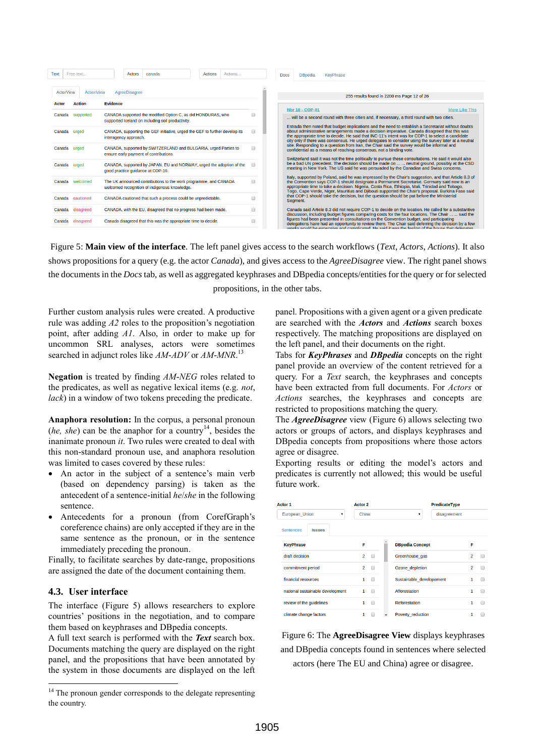| <b>Text</b>  | Free text        |                  |                       | <b>Actors</b> | canada                                                                                                            | <b>Actions</b> | Actions |   | <b>Docs</b> | <b>DBpedia</b>         | <b>KevPhrase</b>                                                                                                                                                |                                                                                                                                                                                                                                                                                                          |
|--------------|------------------|------------------|-----------------------|---------------|-------------------------------------------------------------------------------------------------------------------|----------------|---------|---|-------------|------------------------|-----------------------------------------------------------------------------------------------------------------------------------------------------------------|----------------------------------------------------------------------------------------------------------------------------------------------------------------------------------------------------------------------------------------------------------------------------------------------------------|
|              | <b>ActorView</b> | ActionView       |                       | AgreeDisagree |                                                                                                                   |                |         |   |             |                        | 255 results found in 2200 ms Page 12 of 26                                                                                                                      |                                                                                                                                                                                                                                                                                                          |
| <b>Actor</b> |                  | <b>Action</b>    | <b>Evidence</b>       |               |                                                                                                                   |                |         |   |             |                        |                                                                                                                                                                 | <b>More Like This</b>                                                                                                                                                                                                                                                                                    |
| Canada       |                  | supported        |                       |               | CANADA supported the modified Option C, as did HONDURAS, who<br>supported Iceland on including soil productivity. |                |         |   |             | <b>Nbr 18 - COP-01</b> | will be a second round with three cities and, if necessary, a third round with two cities.                                                                      | Estrada then noted that budget implications and the need to establish a Secretariat without doubts                                                                                                                                                                                                       |
|              | Canada urged     |                  | interagency approach. |               | CANADA, supporting the GEF initiative, urged the GEF to further develop its                                       |                |         |   |             |                        |                                                                                                                                                                 | about administrative arrangements made a decision imperative. Canada disagreed that this was<br>the appropriate time to decide. He said that INC-11's intent was for COP-1 to select a candidate<br>city only if there was consensus. He urged delegates to consider using the survey later at a neutral |
|              | Canada urged     |                  |                       |               | CANADA, supported by SWITZERLAND and BULGARIA, urged Parties to<br>ensure early payment of contributions.         |                |         |   |             |                        | site. Responding to a question from Iran, the Chair said the survey would be informal and<br>confidential as a means of reaching consensus, not a binding vote. | Switzerland said it was not the time politically to pursue these consultations. He said it would also                                                                                                                                                                                                    |
|              | Canada urged     |                  |                       |               | CANADA, supported by JAPAN, EU and NORWAY, urged the adoption of the<br>good practice quidance at COP-10.         |                |         | ⋒ |             |                        | meeting in New York. The US said he was persuaded by the Canadian and Swiss concerns.                                                                           | be a bad UN precedent. The decision should be made on   neutral ground, possibly at the CSD                                                                                                                                                                                                              |
|              |                  | Canada welcomed  |                       |               | The UK announced contributions to the work programme, and CANADA<br>welcomed recognition of indigenous knowledge. |                |         | ∩ |             |                        | appropriate time to take a decision. Nigeria, Costa Rica, Ethiopia, Mali, Trinidad and Tobago,                                                                  | Italy, supported by Poland, said he was impressed by the Chair's suggestion, and that Article 8.3 of<br>the Convention says COP-1 should designate a Permanent Secretariat. Germany said now is an<br>Togo, Cape Verde, Niger, Mauritius and Djibouti supported the Chair's proposal. Burkina Faso said  |
|              |                  | Canada cautioned |                       |               | CANADA cautioned that such a process could be unpredictable.                                                      |                |         | ⋒ |             | Segment.               | that COP-1 should take the decision, but the question should be put before the Ministerial                                                                      |                                                                                                                                                                                                                                                                                                          |
| Canada       |                  | disagreed        |                       |               | CANADA, with the EU, disagreed that no progress had been made.                                                    |                |         | ∩ |             |                        |                                                                                                                                                                 | Canada said Article 8.3 did not require COP-1 to decide on the location. He called for a substantive<br>discussion, including budget figures comparing costs for the four locations. The Chair   said the                                                                                                |
| Canada       |                  | disagreed        |                       |               | Canada disagreed that this was the appropriate time to decide.                                                    |                |         |   |             |                        | figures had been presented in consultations on the Convention budget, and participating                                                                         | delegations have had an opportunity to review them. The Chair said deferring the decision by a few<br>works would be expensive and complicated. He said it was the feeling of the boyce that delegates                                                                                                   |

<span id="page-3-0"></span>Figure 5: **Main view of the interface**. The left panel gives access to the search workflows (*Text*, *Actors*, *Actions*). It also shows propositions for a query (e.g. the actor *Canada*), and gives access to the *AgreeDisagree* view. The right panel shows the documents in the *Docs* tab, as well as aggregated keyphrases and DBpedia concepts/entities for the query or for selected propositions, in the other tabs.

Further custom analysis rules were created. A productive rule was adding *A2* roles to the proposition's negotiation point, after adding *A1*. Also, in order to make up for uncommon SRL analyses, actors were sometimes searched in adjunct roles like *AM-ADV* or *AM-MNR*. [13](#page-2-2)

**Negation** is treated by finding *AM-NEG* roles related to the predicates, as well as negative lexical items (e.g. *not*, *lack*) in a window of two tokens preceding the predicate.

**Anaphora resolution:** In the corpus, a personal pronoun  $(he, she)$  can be the anaphor for a country<sup>14</sup>, besides the inanimate pronoun *it*. Two rules were created to deal with this non-standard pronoun use, and anaphora resolution was limited to cases covered by these rules:

- An actor in the subject of a sentence's main verb (based on dependency parsing) is taken as the antecedent of a sentence-initial *he*/*she* in the following sentence.
- Antecedents for a pronoun (from CorefGraph's coreference chains) are only accepted if they are in the same sentence as the pronoun, or in the sentence immediately preceding the pronoun.

Finally, to facilitate searches by date-range, propositions are assigned the date of the document containing them.

### **4.3. User interface**

l

The interface [\(Figure 5\)](#page-3-0) allows researchers to explore countries' positions in the negotiation, and to compare them based on keyphrases and DBpedia concepts.

A full text search is performed with the *Text* search box. Documents matching the query are displayed on the right panel, and the propositions that have been annotated by the system in those documents are displayed on the left panel. Propositions with a given agent or a given predicate are searched with the *Actors* and *Actions* search boxes respectively. The matching propositions are displayed on the left panel, and their documents on the right.

Tabs for *KeyPhrases* and *DBpedia* concepts on the right panel provide an overview of the content retrieved for a query. For a *Text* search, the keyphrases and concepts have been extracted from full documents. For *Actors* or *Actions* searches, the keyphrases and concepts are restricted to propositions matching the query.

The *AgreeDisagree* view [\(Figure 6\)](#page-3-1) allows selecting two actors or groups of actors, and displays keyphrases and DBpedia concepts from propositions where those actors agree or disagree.

Exporting results or editing the model's actors and predicates is currently not allowed; this would be useful future work.

| Actor 1                           | <b>Actor 2</b>      | <b>PredicateType</b>     |                          |  |
|-----------------------------------|---------------------|--------------------------|--------------------------|--|
| European Union<br>▼               | China               | 7                        | disagreement             |  |
| <b>Sentences</b><br><b>Issues</b> |                     |                          |                          |  |
| <b>KeyPhrase</b>                  | F                   | <b>DBpedia Concept</b>   | F                        |  |
| draft decision                    | 2<br>□              | Greenhouse gas           | $\overline{2}$<br>□      |  |
| commitment period                 | $\overline{2}$<br>⋒ | Ozone depletion          | $\overline{2}$<br>$\Box$ |  |
| financial resources               | 1<br>⋒              | Sustainable developement | 1<br>m                   |  |
| national sustainable development  | 1<br>⋒              | Afforestation            | 1<br>∩                   |  |
| review of the guidelines          | 1<br>□              | <b>Reforestation</b>     | $\mathbf{1}$<br>$\Box$   |  |
| climate change factors            | 1<br>г              | Poverty reduction        | 1<br>m                   |  |
|                                   |                     |                          |                          |  |

<span id="page-3-1"></span>Figure 6: The **AgreeDisagree View** displays keyphrases and DBpedia concepts found in sentences where selected actors (here The EU and China) agree or disagree.

<sup>&</sup>lt;sup>14</sup> The pronoun gender corresponds to the delegate representing the country.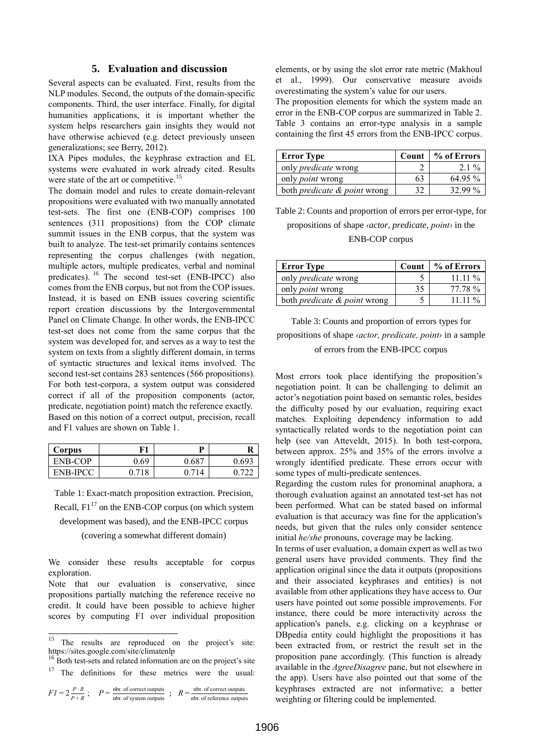### **5. Evaluation and discussion**

<span id="page-4-0"></span>Several aspects can be evaluated. First, results from the NLP modules. Second, the outputs of the domain-specific components. Third, the user interface. Finally, for digital humanities applications, it is important whether the system helps researchers gain insights they would not have otherwise achieved (e.g. detect previously unseen generalizations; see Berry, 2012).

IXA Pipes modules, the keyphrase extraction and EL systems were evaluated in work already cited. Results were state of the art or competitive.<sup>15</sup>

The domain model and rules to create domain-relevant propositions were evaluated with two manually annotated test-sets. The first one (ENB-COP) comprises 100 sentences (311 propositions) from the COP climate summit issues in the ENB corpus, that the system was built to analyze. The test-set primarily contains sentences representing the corpus challenges (with negation, multiple actors, multiple predicates, verbal and nominal predicates). <sup>16</sup> The second test-set (ENB-IPCC) also comes from the ENB corpus, but not from the COP issues. Instead, it is based on ENB issues covering scientific report creation discussions by the Intergovernmental Panel on Climate Change. In other words, the ENB-IPCC test-set does not come from the same corpus that the system was developed for, and serves as a way to test the system on texts from a slightly different domain, in terms of syntactic structures and lexical items involved. The second test-set contains 283 sentences (566 propositions). For both test-corpora, a system output was considered correct if all of the proposition components (actor, predicate, negotiation point) match the reference exactly. Based on this notion of a correct output, precision, recall and F1 values are shown on Table 1.

| Corpus          | F1    | D     |       |
|-----------------|-------|-------|-------|
| ENB-COP         | 0.69  | 0.687 | 9.693 |
| <b>ENB-IPCC</b> | በ 718 | ገ 714 |       |

Table 1: Exact-match proposition extraction. Precision, Recall,  $F1^{17}$  on the ENB-COP corpus (on which system development was based), and the ENB-IPCC corpus (covering a somewhat different domain)

We consider these results acceptable for corpus exploration.

Note that our evaluation is conservative, since propositions partially matching the reference receive no credit. It could have been possible to achieve higher scores by computing F1 over individual proposition

j

<sup>16</sup> Both test-sets and related information are on the project's site  $17$  The definitions for these metrics were the usual:

 $FI = 2 \frac{P \cdot R}{P \cdot R}$  $\frac{P \cdot R}{P + R}$ ;  $P = \frac{\text{nbr. of correct outputs}}{\text{nbr. of system outputs}}$ ;  $R = \frac{\text{nbr. of correct outputs}}{\text{nbr. of reference output}}$  elements, or by using the slot error rate metric (Makhoul et al., 1999). Our conservative measure avoids overestimating the system's value for our users.

The proposition elements for which the system made an error in the ENB-COP corpus are summarized in Table 2. Table 3 contains an error-type analysis in a sample containing the first 45 errors from the ENB-IPCC corpus.

| <b>Error Type</b>                       | Count | % of Errors |
|-----------------------------------------|-------|-------------|
| only <i>predicate</i> wrong             |       | $21\%$      |
| only <i>point</i> wrong                 | h i   | 64.95 %     |
| both <i>predicate &amp; point</i> wrong |       | 32.99%      |

Table 2: Counts and proportion of errors per error-type, for propositions of shape *‹actor, predicate, point›* in the ENB-COP corpus

| <b>Error Type</b>                       | Count | % of Errors |
|-----------------------------------------|-------|-------------|
| only <i>predicate</i> wrong             |       | $11.11\%$   |
| only <i>point</i> wrong                 | 35    | 77.78 %     |
| both <i>predicate &amp; point</i> wrong |       | 11 11 $\%$  |

Table 3: Counts and proportion of errors types for propositions of shape *‹actor, predicate, point›* in a sample of errors from the ENB-IPCC corpus

Most errors took place identifying the proposition's negotiation point. It can be challenging to delimit an actor's negotiation point based on semantic roles, besides the difficulty posed by our evaluation, requiring exact matches. Exploiting dependency information to add syntactically related words to the negotiation point can help (see van Atteveldt, 2015). In both test-corpora, between approx. 25% and 35% of the errors involve a wrongly identified predicate. These errors occur with some types of multi-predicate sentences.

Regarding the custom rules for pronominal anaphora, a thorough evaluation against an annotated test-set has not been performed. What can be stated based on informal evaluation is that accuracy was fine for the application's needs, but given that the rules only consider sentence initial *he/she* pronouns, coverage may be lacking.

In terms of user evaluation, a domain expert as well as two general users have provided comments. They find the application original since the data it outputs (propositions and their associated keyphrases and entities) is not available from other applications they have access to. Our users have pointed out some possible improvements. For instance, there could be more interactivity across the application's panels, e.g. clicking on a keyphrase or DBpedia entity could highlight the propositions it has been extracted from, or restrict the result set in the proposition pane accordingly. (This function is already available in the *AgreeDisagree* pane, but not elsewhere in the app). Users have also pointed out that some of the keyphrases extracted are not informative; a better weighting or filtering could be implemented.

nbr. of reference outputs

<sup>&</sup>lt;sup>15</sup> The results are reproduced on the project's site: https://sites.google.com/site/climatenlp